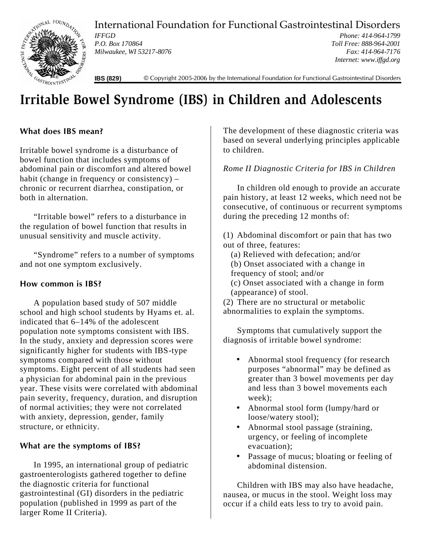International Foundation for Functional Gastrointestinal Disorders



*IFFGD P.O. Box 170864 Milwaukee, WI 53217-8076*

*Phone: 414-964-1799 Toll Free: 888-964-2001 Fax: 414-964-7176 Internet: www.iffgd.org*

**IBS (829)** © Copyright 2005-2006 by the International Foundation for Functional Gastrointestinal Disorders

# **Irritable Bowel Syndrome (IBS) in Children and Adolescents**

# **What does IBS mean?**

Irritable bowel syndrome is a disturbance of bowel function that includes symptoms of abdominal pain or discomfort and altered bowel habit (change in frequency or consistency) – chronic or recurrent diarrhea, constipation, or both in alternation.

"Irritable bowel" refers to a disturbance in the regulation of bowel function that results in unusual sensitivity and muscle activity.

"Syndrome" refers to a number of symptoms and not one symptom exclusively.

## **How common is IBS?**

A population based study of 507 middle school and high school students by Hyams et. al. indicated that 6–14% of the adolescent population note symptoms consistent with IBS. In the study, anxiety and depression scores were significantly higher for students with IBS-type symptoms compared with those without symptoms. Eight percent of all students had seen a physician for abdominal pain in the previous year. These visits were correlated with abdominal pain severity, frequency, duration, and disruption of normal activities; they were not correlated with anxiety, depression, gender, family structure, or ethnicity.

# **What are the symptoms of IBS?**

In 1995, an international group of pediatric gastroenterologists gathered together to define the diagnostic criteria for functional gastrointestinal (GI) disorders in the pediatric population (published in 1999 as part of the larger Rome II Criteria).

The development of these diagnostic criteria was based on several underlying principles applicable to children.

# *Rome II Diagnostic Criteria for IBS in Children*

In children old enough to provide an accurate pain history, at least 12 weeks, which need not be consecutive, of continuous or recurrent symptoms during the preceding 12 months of:

(1) Abdominal discomfort or pain that has two out of three, features:

(a) Relieved with defecation; and/or (b) Onset associated with a change in frequency of stool; and/or (c) Onset associated with a change in form (appearance) of stool.

(2) There are no structural or metabolic abnormalities to explain the symptoms.

Symptoms that cumulatively support the diagnosis of irritable bowel syndrome:

- Abnormal stool frequency (for research purposes "abnormal" may be defined as greater than 3 bowel movements per day and less than 3 bowel movements each week);
- Abnormal stool form (lumpy/hard or loose/watery stool);
- Abnormal stool passage (straining, urgency, or feeling of incomplete evacuation);
- Passage of mucus; bloating or feeling of abdominal distension.

Children with IBS may also have headache, nausea, or mucus in the stool. Weight loss may occur if a child eats less to try to avoid pain.